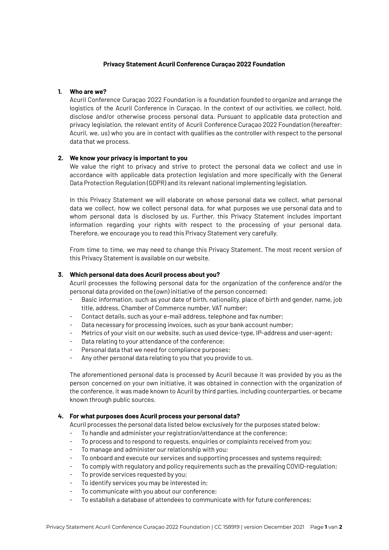## **Privacy Statement Acuril Conference Curaçao 2022 Foundation**

# **1. Who are we?**

Acuril Conference Curaçao 2022 Foundation is a foundation founded to organize and arrange the logistics of the Acuril Conference in Curaçao. In the context of our activities, we collect, hold, disclose and/or otherwise process personal data. Pursuant to applicable data protection and privacy legislation, the relevant entity of Acuril Conference Curaçao 2022 Foundation (hereafter: Acuril, we, us) who you are in contact with qualifies as the controller with respect to the personal data that we process.

## **2. We know your privacy is important to you**

We value the right to privacy and strive to protect the personal data we collect and use in accordance with applicable data protection legislation and more specifically with the General Data Protection Regulation (GDPR) and its relevant national implementing legislation.

In this Privacy Statement we will elaborate on whose personal data we collect, what personal data we collect, how we collect personal data, for what purposes we use personal data and to whom personal data is disclosed by us. Further, this Privacy Statement includes important information regarding your rights with respect to the processing of your personal data. Therefore, we encourage you to read this Privacy Statement very carefully.

From time to time, we may need to change this Privacy Statement. The most recent version of this Privacy Statement is available on our website.

## **3. Which personal data does Acuril process about you?**

Acuril processes the following personal data for the organization of the conference and/or the personal data provided on the (own) initiative of the person concerned:

- Basic information, such as your date of birth, nationality, place of birth and gender, name, job title, address, Chamber of Commerce number, VAT number;
- Contact details, such as your e-mail address, telephone and fax number;
- Data necessary for processing invoices, such as your bank account number;
- Metrics of your visit on our website, such as used device-type, IP-address and user-agent;
- Data relating to your attendance of the conference;
- Personal data that we need for compliance purposes;
- Any other personal data relating to you that you provide to us.

The aforementioned personal data is processed by Acuril because it was provided by you as the person concerned on your own initiative, it was obtained in connection with the organization of the conference, it was made known to Acuril by third parties, including counterparties, or became known through public sources.

## **4. For what purposes does Acuril process your personal data?**

Acuril processes the personal data listed below exclusively for the purposes stated below:

- To handle and administer your registration/attendance at the conference;
- To process and to respond to requests, enquiries or complaints received from you;
- To manage and administer our relationship with you;
- To onboard and execute our services and supporting processes and systems required;
- To comply with regulatory and policy requirements such as the prevailing COVID-regulation;
- To provide services requested by you;
- To identify services you may be interested in;
- To communicate with you about our conference:
- To establish a database of attendees to communicate with for future conferences;